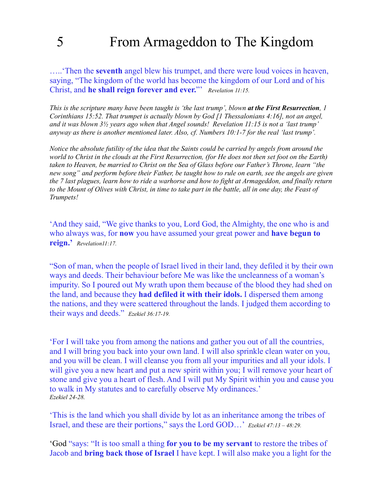## 5 From Armageddon to The Kingdom

…..'Then the **seventh** angel blew his trumpet, and there were loud voices in heaven, saying, "The kingdom of the world has become the kingdom of our Lord and of his Christ, and **he shall reign forever and ever.**"' *Revelation 11:15.*

*This is the scripture many have been taught is 'the last trump', blown at the First Resurrection, 1 Corinthians 15:52. That trumpet is actually blown by God [1 Thessalonians 4:16], not an angel, and it was blown 3½ years ago when that Angel sounds! Revelation 11:15 is not a 'last trump' anyway as there is another mentioned later. Also, cf. Numbers 10:1-7 for the real 'last trump'.* 

*Notice the absolute futility of the idea that the Saints could be carried by angels from around the world to Christ in the clouds at the First Resurrection, (for He does not then set foot on the Earth) taken to Heaven, be married to Christ on the Sea of Glass before our Father's Throne, learn "the new song" and perform before their Father, be taught how to rule on earth, see the angels are given the 7 last plagues, learn how to ride a warhorse and how to fight at Armageddon, and finally return to the Mount of Olives with Christ, in time to take part in the battle, all in one day, the Feast of Trumpets!* 

'And they said, "We give thanks to you, Lord God, the Almighty, the one who is and who always was, for **now** you have assumed your great power and **have begun to reign.'** *Revelation11:17.*

"Son of man, when the people of Israel lived in their land, they defiled it by their own ways and deeds. Their behaviour before Me was like the uncleanness of a woman's impurity. So I poured out My wrath upon them because of the blood they had shed on the land, and because they **had defiled it with their idols.** I dispersed them among the nations, and they were scattered throughout the lands. I judged them according to their ways and deeds." *Ezekiel 36:17-19.*

'For I will take you from among the nations and gather you out of all the countries, and I will bring you back into your own land. I will also sprinkle clean water on you, and you will be clean. I will cleanse you from all your impurities and all your idols. I will give you a new heart and put a new spirit within you; I will remove your heart of stone and give you a heart of flesh. And I will put My Spirit within you and cause you to walk in My statutes and to carefully observe My ordinances.' *Ezekiel 24-28.* 

'This is the land which you shall divide by lot as an inheritance among the tribes of Israel, and these are their portions," says the Lord GOD…' *Ezekiel 47:13 – 48:29.*

'God "says: "It is too small a thing **for you to be my servant** to restore the tribes of Jacob and **bring back those of Israel** I have kept. I will also make you a light for the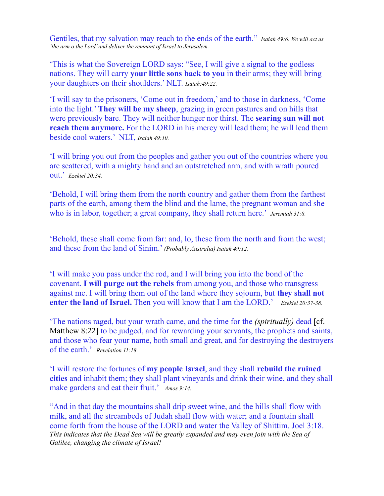Gentiles, that my salvation may reach to the ends of the earth." *Isaiah 49:6. We will act as 'the arm o the Lord' and deliver the remnant of Israel to Jerusalem.*

'This is what the Sovereign LORD says: "See, I will give a signal to the godless nations. They will carry **your little sons back to you** in their arms; they will bring your daughters on their shoulders.' NLT. *Isaiah:49:22.*

'I will say to the prisoners, 'Come out in freedom,' and to those in darkness, 'Come into the light.' **They will be my sheep**, grazing in green pastures and on hills that were previously bare. They will neither hunger nor thirst. The **searing sun will not reach them anymore.** For the LORD in his mercy will lead them; he will lead them beside cool waters.' NLT, *Isaiah 49:10.*

'I will bring you out from the peoples and gather you out of the countries where you are scattered, with a mighty hand and an outstretched arm, and with wrath poured out.' *Ezekiel 20:34.*

'Behold, I will bring them from the north country and gather them from the farthest parts of the earth, among them the blind and the lame, the pregnant woman and she who is in labor, together; a great company, they shall return here.' *Jeremiah 31:8.*

'Behold, these shall come from far: and, lo, these from the north and from the west; and these from the land of Sinim.' *(Probably Australia) Isaiah 49:12.*

'I will make you pass under the rod, and I will bring you into the bond of the covenant. **I will purge out the rebels** from among you, and those who transgress against me. I will bring them out of the land where they sojourn, but **they shall not enter the land of Israel.** Then you will know that I am the LORD.' *Ezekiel 20:37-38.*

'The nations raged, but your wrath came, and the time for the *(spiritually)* dead [cf. Matthew 8:22] to be judged, and for rewarding your servants, the prophets and saints, and those who fear your name, both small and great, and for destroying the destroyers of the earth.' *Revelation 11:18.*

'I will restore the fortunes of **my people Israel**, and they shall **rebuild the ruined cities** and inhabit them; they shall plant vineyards and drink their wine, and they shall make gardens and eat their fruit.' *Amos 9:14.*

"And in that day the mountains shall drip sweet wine, and the hills shall flow with milk, and all the streambeds of Judah shall flow with water; and a fountain shall come forth from the house of the LORD and water the Valley of Shittim. Joel 3:18. *This indicates that the Dead Sea will be greatly expanded and may even join with the Sea of Galilee, changing the climate of Israel!*